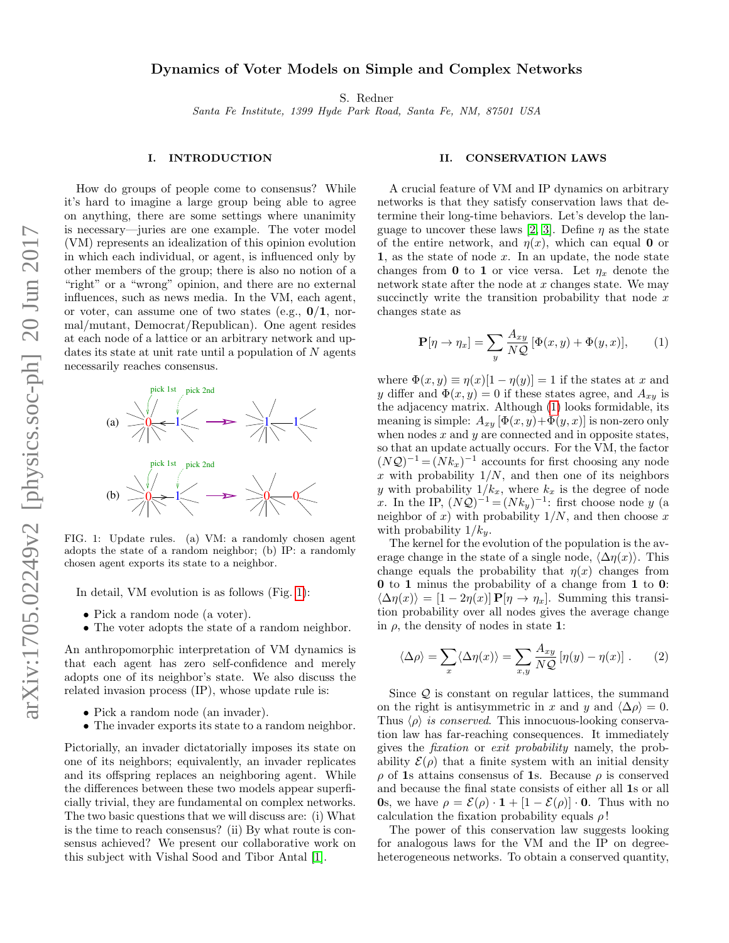# Dynamics of Voter Models on Simple and Complex Networks

S. Redner

Santa Fe Institute, 1399 Hyde Park Road, Santa Fe, NM, 87501 USA

## I. INTRODUCTION

How do groups of people come to consensus? While it's hard to imagine a large group being able to agree on anything, there are some settings where unanimity is necessary—juries are one example. The voter model (VM) represents an idealization of this opinion evolution in which each individual, or agent, is influenced only by other members of the group; there is also no notion of a "right" or a "wrong" opinion, and there are no external influences, such as news media. In the VM, each agent, or voter, can assume one of two states (e.g.,  $0/1$ , normal/mutant, Democrat/Republican). One agent resides at each node of a lattice or an arbitrary network and updates its state at unit rate until a population of  $N$  agents necessarily reaches consensus.



<span id="page-0-0"></span>FIG. 1: Update rules. (a) VM: a randomly chosen agent adopts the state of a random neighbor; (b) IP: a randomly chosen agent exports its state to a neighbor.

In detail, VM evolution is as follows (Fig. [1\)](#page-0-0):

- Pick a random node (a voter).
- The voter adopts the state of a random neighbor.

An anthropomorphic interpretation of VM dynamics is that each agent has zero self-confidence and merely adopts one of its neighbor's state. We also discuss the related invasion process (IP), whose update rule is:

- Pick a random node (an invader).
- The invader exports its state to a random neighbor.

Pictorially, an invader dictatorially imposes its state on one of its neighbors; equivalently, an invader replicates and its offspring replaces an neighboring agent. While the differences between these two models appear superficially trivial, they are fundamental on complex networks. The two basic questions that we will discuss are: (i) What is the time to reach consensus? (ii) By what route is consensus achieved? We present our collaborative work on this subject with Vishal Sood and Tibor Antal [\[1\]](#page-4-0).

### II. CONSERVATION LAWS

A crucial feature of VM and IP dynamics on arbitrary networks is that they satisfy conservation laws that determine their long-time behaviors. Let's develop the lan-guage to uncover these laws [\[2,](#page-4-1) [3\]](#page-4-2). Define  $\eta$  as the state of the entire network, and  $\eta(x)$ , which can equal **0** or 1, as the state of node  $x$ . In an update, the node state changes from 0 to 1 or vice versa. Let  $\eta_x$  denote the network state after the node at  $x$  changes state. We may succinctly write the transition probability that node  $x$ changes state as

<span id="page-0-1"></span>
$$
\mathbf{P}[\eta \to \eta_x] = \sum_y \frac{A_{xy}}{NQ} \left[ \Phi(x, y) + \Phi(y, x) \right],\tag{1}
$$

where  $\Phi(x, y) \equiv \eta(x)[1 - \eta(y)] = 1$  if the states at x and y differ and  $\Phi(x, y) = 0$  if these states agree, and  $A_{xy}$  is the adjacency matrix. Although [\(1\)](#page-0-1) looks formidable, its meaning is simple:  $A_{xy}[\Phi(x,y)+\Phi(y,x)]$  is non-zero only when nodes  $x$  and  $y$  are connected and in opposite states, so that an update actually occurs. For the VM, the factor  $(NQ)^{-1} = (Nk_x)^{-1}$  accounts for first choosing any node  $x$  with probability  $1/N$ , and then one of its neighbors y with probability  $1/k_x$ , where  $k_x$  is the degree of node x. In the IP,  $(NQ)^{-1} = (Nk_y)^{-1}$ : first choose node y (a neighbor of x) with probability  $1/N$ , and then choose x with probability  $1/k_y$ .

The kernel for the evolution of the population is the average change in the state of a single node,  $\langle \Delta \eta(x) \rangle$ . This change equals the probability that  $\eta(x)$  changes from 0 to 1 minus the probability of a change from 1 to 0:  $\langle \Delta \eta(x) \rangle = [1 - 2\eta(x)] \mathbf{P}[\eta \to \eta_x]$ . Summing this transition probability over all nodes gives the average change in  $\rho$ , the density of nodes in state 1:

<span id="page-0-2"></span>
$$
\langle \Delta \rho \rangle = \sum_{x} \langle \Delta \eta(x) \rangle = \sum_{x,y} \frac{A_{xy}}{NQ} \left[ \eta(y) - \eta(x) \right]. \tag{2}
$$

Since  $Q$  is constant on regular lattices, the summand on the right is antisymmetric in x and y and  $\langle \Delta \rho \rangle = 0$ . Thus  $\langle \rho \rangle$  is conserved. This innocuous-looking conservation law has far-reaching consequences. It immediately gives the fixation or exit probability namely, the probability  $\mathcal{E}(\rho)$  that a finite system with an initial density  $\rho$  of 1s attains consensus of 1s. Because  $\rho$  is conserved and because the final state consists of either all 1s or all **0**s, we have  $\rho = \mathcal{E}(\rho) \cdot \mathbf{1} + [1 - \mathcal{E}(\rho)] \cdot \mathbf{0}$ . Thus with no calculation the fixation probability equals  $\rho$ !

The power of this conservation law suggests looking for analogous laws for the VM and the IP on degreeheterogeneous networks. To obtain a conserved quantity,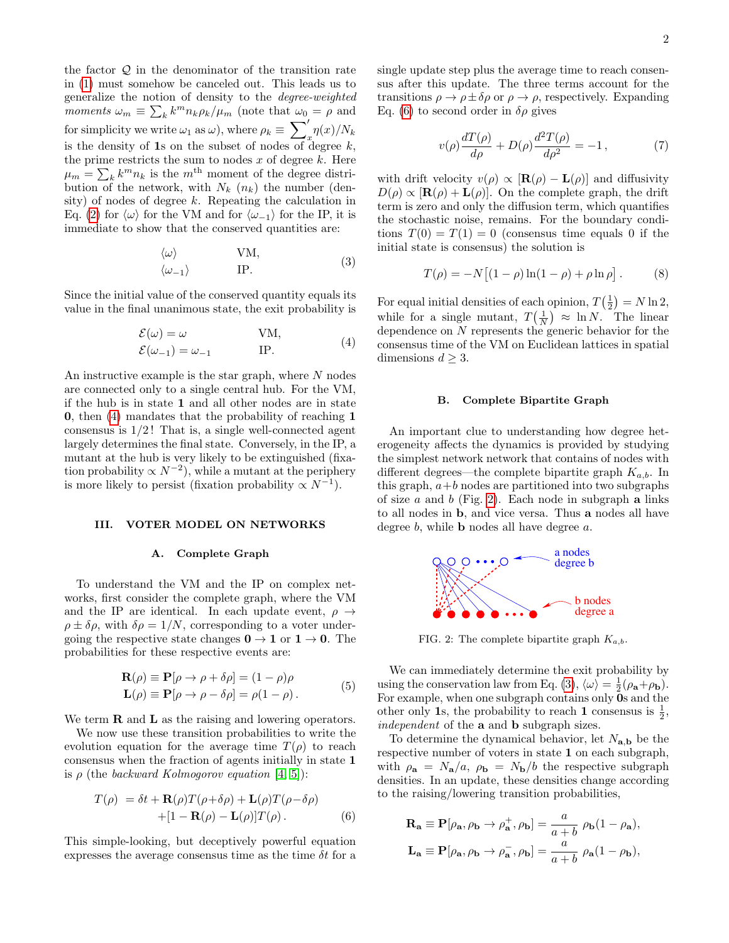the factor  $Q$  in the denominator of the transition rate in [\(1\)](#page-0-1) must somehow be canceled out. This leads us to generalize the notion of density to the degree-weighted moments  $\omega_m \equiv \sum_k k^m n_k \rho_k / \mu_m$  (note that  $\omega_0 = \rho$  and for simplicity we write  $\omega_1$  as  $\omega$ ), where  $\rho_k \equiv \sum_{x}^{\prime} \eta(x)/N_k$ is the density of  $1s$  on the subset of nodes of degree  $k$ , the prime restricts the sum to nodes  $x$  of degree  $k$ . Here  $\mu_m = \sum_k k^m n_k$  is the  $m^{\text{th}}$  moment of the degree distribution of the network, with  $N_k$   $(n_k)$  the number (density) of nodes of degree  $k$ . Repeating the calculation in Eq. [\(2\)](#page-0-2) for  $\langle \omega \rangle$  for the VM and for  $\langle \omega_{-1} \rangle$  for the IP, it is immediate to show that the conserved quantities are:

$$
\langle \omega \rangle \qquad \text{VM}, \n\langle \omega_{-1} \rangle \qquad \text{IP}. \qquad (3)
$$

Since the initial value of the conserved quantity equals its value in the final unanimous state, the exit probability is

$$
\mathcal{E}(\omega) = \omega \qquad \text{VM},
$$
  
\n
$$
\mathcal{E}(\omega_{-1}) = \omega_{-1} \qquad \text{IP}.
$$
\n(4)

An instructive example is the star graph, where  $N$  nodes are connected only to a single central hub. For the VM, if the hub is in state 1 and all other nodes are in state 0, then [\(4\)](#page-1-0) mandates that the probability of reaching 1 consensus is  $1/2$ ! That is, a single well-connected agent largely determines the final state. Conversely, in the IP, a mutant at the hub is very likely to be extinguished (fixation probability  $\propto N^{-2}$ , while a mutant at the periphery is more likely to persist (fixation probability  $\propto N^{-1}$ ).

#### III. VOTER MODEL ON NETWORKS

#### A. Complete Graph

To understand the VM and the IP on complex networks, first consider the complete graph, where the VM and the IP are identical. In each update event,  $\rho \rightarrow$  $\rho \pm \delta \rho$ , with  $\delta \rho = 1/N$ , corresponding to a voter undergoing the respective state changes  $0 \to 1$  or  $1 \to 0$ . The probabilities for these respective events are:

$$
\mathbf{R}(\rho) \equiv \mathbf{P}[\rho \to \rho + \delta \rho] = (1 - \rho)\rho
$$
  
\n
$$
\mathbf{L}(\rho) \equiv \mathbf{P}[\rho \to \rho - \delta \rho] = \rho(1 - \rho).
$$
 (5)

We term  $\bf{R}$  and  $\bf{L}$  as the raising and lowering operators.

We now use these transition probabilities to write the evolution equation for the average time  $T(\rho)$  to reach consensus when the fraction of agents initially in state 1 is  $\rho$  (the backward Kolmogorov equation [\[4,](#page-4-3) [5\]](#page-4-4)):

<span id="page-1-1"></span>
$$
T(\rho) = \delta t + \mathbf{R}(\rho)T(\rho + \delta \rho) + \mathbf{L}(\rho)T(\rho - \delta \rho)
$$
  
 
$$
+ [1 - \mathbf{R}(\rho) - \mathbf{L}(\rho)]T(\rho).
$$
 (6)

This simple-looking, but deceptively powerful equation expresses the average consensus time as the time  $\delta t$  for a single update step plus the average time to reach consensus after this update. The three terms account for the transitions  $\rho \to \rho \pm \delta \rho$  or  $\rho \to \rho$ , respectively. Expanding Eq. [\(6\)](#page-1-1) to second order in  $\delta \rho$  gives

$$
v(\rho)\frac{dT(\rho)}{d\rho} + D(\rho)\frac{d^2T(\rho)}{d\rho^2} = -1, \qquad (7)
$$

with drift velocity  $v(\rho) \propto [\mathbf{R}(\rho) - \mathbf{L}(\rho)]$  and diffusivity  $D(\rho) \propto [\mathbf{R}(\rho) + \mathbf{L}(\rho)].$  On the complete graph, the drift term is zero and only the diffusion term, which quantifies the stochastic noise, remains. For the boundary conditions  $T(0) = T(1) = 0$  (consensus time equals 0 if the initial state is consensus) the solution is

<span id="page-1-4"></span>
$$
T(\rho) = -N[(1 - \rho)\ln(1 - \rho) + \rho \ln \rho].
$$
 (8)

<span id="page-1-3"></span><span id="page-1-0"></span>For equal initial densities of each opinion,  $T(\frac{1}{2}) = N \ln 2$ , while for a single mutant,  $T(\frac{1}{N}) \approx \ln N$ . The linear dependence on  $N$  represents the generic behavior for the consensus time of the VM on Euclidean lattices in spatial dimensions  $d \geq 3$ .

#### B. Complete Bipartite Graph

An important clue to understanding how degree heterogeneity affects the dynamics is provided by studying the simplest network network that contains of nodes with different degrees—the complete bipartite graph  $K_{a,b}$ . In this graph,  $a+b$  nodes are partitioned into two subgraphs of size  $a$  and  $b$  (Fig. [2\)](#page-1-2). Each node in subgraph a links to all nodes in b, and vice versa. Thus a nodes all have degree  $b$ , while **b** nodes all have degree  $a$ .



<span id="page-1-2"></span>FIG. 2: The complete bipartite graph  $K_{a,b}$ .

<span id="page-1-5"></span>We can immediately determine the exit probability by using the conservation law from Eq. [\(3\)](#page-1-3),  $\langle \omega \rangle = \frac{1}{2}(\rho_{\mathbf{a}}+\rho_{\mathbf{b}})$ . For example, when one subgraph contains only 0s and the other only 1s, the probability to reach 1 consensus is  $\frac{1}{2}$ , independent of the **a** and **b** subgraph sizes.

To determine the dynamical behavior, let  $N_{\mathbf{a},\mathbf{b}}$  be the respective number of voters in state 1 on each subgraph, with  $\rho_{\bf a} = N_{\bf a}/a$ ,  $\rho_{\bf b} = N_{\bf b}/b$  the respective subgraph densities. In an update, these densities change according to the raising/lowering transition probabilities,

$$
\mathbf{R}_{\mathbf{a}} \equiv \mathbf{P}[\rho_{\mathbf{a}}, \rho_{\mathbf{b}} \to \rho_{\mathbf{a}}^{+}, \rho_{\mathbf{b}}] = \frac{a}{a+b} \ \rho_{\mathbf{b}}(1-\rho_{\mathbf{a}}),
$$
  

$$
\mathbf{L}_{\mathbf{a}} \equiv \mathbf{P}[\rho_{\mathbf{a}}, \rho_{\mathbf{b}} \to \rho_{\mathbf{a}}^{-}, \rho_{\mathbf{b}}] = \frac{a}{a+b} \ \rho_{\mathbf{a}}(1-\rho_{\mathbf{b}}),
$$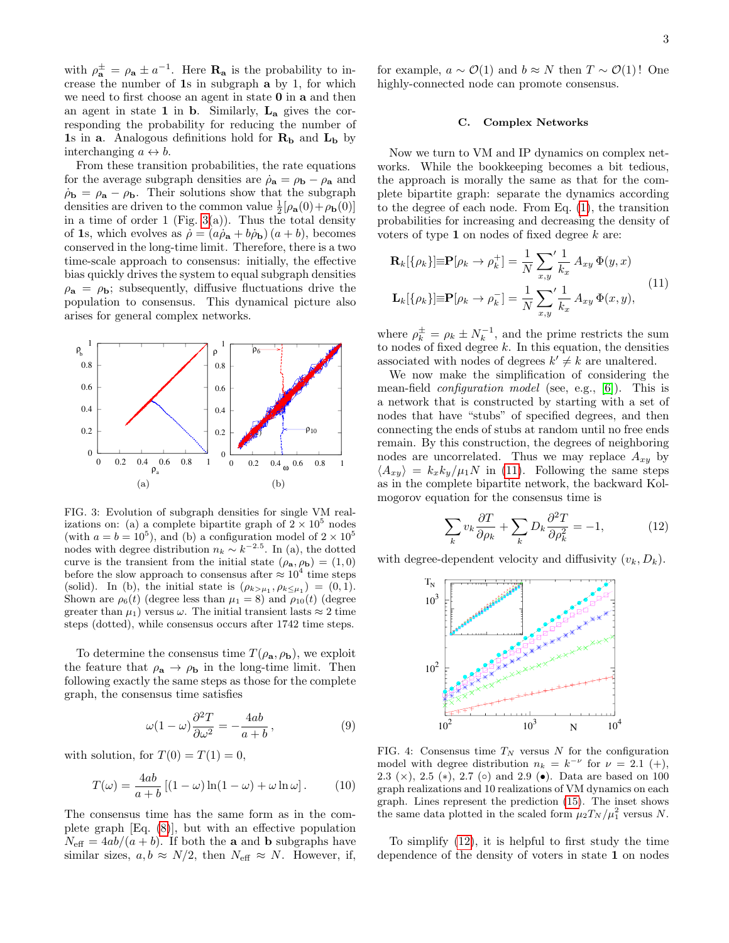with  $\rho_{\mathbf{a}}^{\pm} = \rho_{\mathbf{a}} \pm a^{-1}$ . Here  $\mathbf{R}_{\mathbf{a}}$  is the probability to increase the number of 1s in subgraph a by 1, for which we need to first choose an agent in state  $0$  in  $a$  and then an agent in state  $1$  in  $\bf{b}$ . Similarly,  $\bf{L}_a$  gives the corresponding the probability for reducing the number of 1s in a. Analogous definitions hold for  $R_b$  and  $L_b$  by interchanging  $a \leftrightarrow b$ .

From these transition probabilities, the rate equations for the average subgraph densities are  $\dot{\rho}_a = \rho_b - \rho_a$  and  $\dot{\rho}_{\bf b} = \rho_{\bf a} - \rho_{\bf b}$ . Their solutions show that the subgraph densities are driven to the common value  $\frac{1}{2}[\rho_{\bf a}(0)+\rho_{\bf b}(0)]$ in a time of order 1 (Fig. [3\(](#page-2-0)a)). Thus the total density of 1s, which evolves as  $\dot{\rho} = (a\dot{\rho}_a + b\dot{\rho}_b) (a + b)$ , becomes conserved in the long-time limit. Therefore, there is a two time-scale approach to consensus: initially, the effective bias quickly drives the system to equal subgraph densities  $\rho_{a} = \rho_{b}$ ; subsequently, diffusive fluctuations drive the population to consensus. This dynamical picture also arises for general complex networks.



<span id="page-2-0"></span>FIG. 3: Evolution of subgraph densities for single VM realizations on: (a) a complete bipartite graph of  $2 \times 10^5$  nodes (with  $a = b = 10^5$ ), and (b) a configuration model of  $2 \times 10^5$ nodes with degree distribution  $n_k \sim k^{-2.5}$ . In (a), the dotted curve is the transient from the initial state  $(\rho_{\mathbf{a}}, \rho_{\mathbf{b}}) = (1, 0)$ before the slow approach to consensus after  $\approx 10^4$  time steps (solid). In (b), the initial state is  $(\rho_{k>\mu_1}, \rho_{k\leq \mu_1}) = (0, 1)$ . Shown are  $\rho_6(t)$  (degree less than  $\mu_1 = 8$ ) and  $\rho_{10}(t)$  (degree greater than  $\mu_1$ ) versus  $\omega$ . The initial transient lasts  $\approx 2$  time steps (dotted), while consensus occurs after 1742 time steps.

To determine the consensus time  $T(\rho_{\mathbf{a}}, \rho_{\mathbf{b}})$ , we exploit the feature that  $\rho_{\mathbf{a}} \to \rho_{\mathbf{b}}$  in the long-time limit. Then following exactly the same steps as those for the complete graph, the consensus time satisfies

<span id="page-2-3"></span>
$$
\omega(1-\omega)\frac{\partial^2 T}{\partial \omega^2} = -\frac{4ab}{a+b},\qquad(9)
$$

with solution, for  $T(0) = T(1) = 0$ ,

$$
T(\omega) = \frac{4ab}{a+b} \left[ (1-\omega)\ln(1-\omega) + \omega \ln \omega \right].
$$
 (10)

The consensus time has the same form as in the complete graph [Eq. [\(8\)](#page-1-4)], but with an effective population  $N_{\text{eff}} = 4ab/(a + b)$ . If both the **a** and **b** subgraphs have similar sizes,  $a, b \approx N/2$ , then  $N_{\text{eff}} \approx N$ . However, if,

for example,  $a \sim \mathcal{O}(1)$  and  $b \approx N$  then  $T \sim \mathcal{O}(1)!$  One highly-connected node can promote consensus.

#### C. Complex Networks

Now we turn to VM and IP dynamics on complex networks. While the bookkeeping becomes a bit tedious, the approach is morally the same as that for the complete bipartite graph: separate the dynamics according to the degree of each node. From Eq. [\(1\)](#page-0-1), the transition probabilities for increasing and decreasing the density of voters of type  $1$  on nodes of fixed degree  $k$  are:

<span id="page-2-1"></span>
$$
\mathbf{R}_{k}[\{\rho_{k}\}]\equiv\mathbf{P}[\rho_{k}\to\rho_{k}^{+}]=\frac{1}{N}\sum_{x,y}\frac{1}{k_{x}}A_{xy}\,\Phi(y,x)
$$
\n
$$
\mathbf{L}_{k}[\{\rho_{k}\}]\equiv\mathbf{P}[\rho_{k}\to\rho_{k}^{-}]=\frac{1}{N}\sum_{x,y}\frac{1}{k_{x}}A_{xy}\,\Phi(x,y),
$$
\n(11)

where  $\rho_k^{\pm} = \rho_k \pm N_k^{-1}$ , and the prime restricts the sum to nodes of fixed degree  $k$ . In this equation, the densities associated with nodes of degrees  $k' \neq k$  are unaltered.

We now make the simplification of considering the mean-field configuration model (see, e.g., [\[6\]](#page-4-5)). This is a network that is constructed by starting with a set of nodes that have "stubs" of specified degrees, and then connecting the ends of stubs at random until no free ends remain. By this construction, the degrees of neighboring nodes are uncorrelated. Thus we may replace  $A_{xy}$  by  $\langle A_{xy} \rangle = k_x k_y / \mu_1 N$  in [\(11\)](#page-2-1). Following the same steps as in the complete bipartite network, the backward Kolmogorov equation for the consensus time is

<span id="page-2-2"></span>
$$
\sum_{k} v_k \frac{\partial T}{\partial \rho_k} + \sum_{k} D_k \frac{\partial^2 T}{\partial \rho_k^2} = -1, \tag{12}
$$

with degree-dependent velocity and diffusivity  $(v_k, D_k)$ .



FIG. 4: Consensus time  $T_N$  versus N for the configuration model with degree distribution  $n_k = k^{-\nu}$  for  $\nu = 2.1$  (+), 2.3 ( $\times$ ), 2.5 ( $*$ ), 2.7 ( $\circ$ ) and 2.9 ( $\bullet$ ). Data are based on 100 graph realizations and 10 realizations of VM dynamics on each graph. Lines represent the prediction [\(15\)](#page-3-0). The inset shows the same data plotted in the scaled form  $\mu_2 T_N / \mu_1^2$  versus N.

To simplify [\(12\)](#page-2-2), it is helpful to first study the time dependence of the density of voters in state 1 on nodes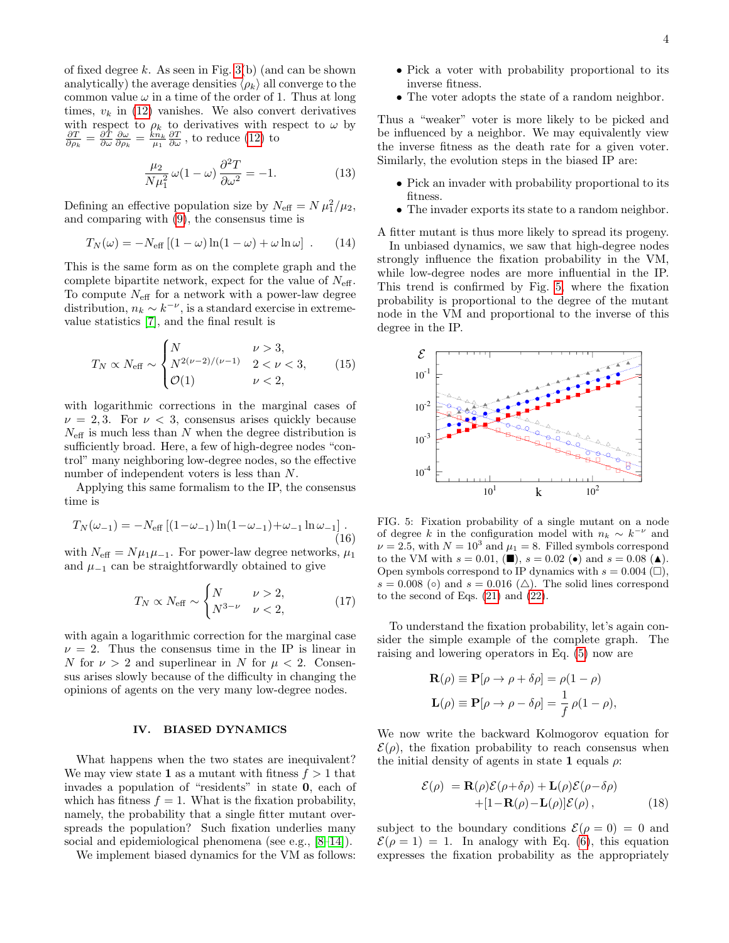of fixed degree  $k$ . As seen in Fig. [3\(](#page-2-0)b) (and can be shown analytically) the average densities  $\langle \rho_k \rangle$  all converge to the common value  $\omega$  in a time of the order of 1. Thus at long times,  $v_k$  in [\(12\)](#page-2-2) vanishes. We also convert derivatives with respect to  $\rho_k$  to derivatives with respect to  $\omega$  by  $\frac{\partial T}{\partial \rho_k} = \frac{\partial T}{\partial \omega} \frac{\partial \omega}{\partial \rho_k} = \frac{k n_k}{\mu_1} \frac{\partial T}{\partial \omega}$ , to reduce [\(12\)](#page-2-2) to

$$
\frac{\mu_2}{N\mu_1^2}\,\omega(1-\omega)\,\frac{\partial^2 T}{\partial\omega^2} = -1.\tag{13}
$$

Defining an effective population size by  $N_{\text{eff}} = N \mu_1^2 / \mu_2$ , and comparing with [\(9\)](#page-2-3), the consensus time is

$$
T_N(\omega) = -N_{\text{eff}} \left[ (1 - \omega) \ln(1 - \omega) + \omega \ln \omega \right] . \tag{14}
$$

This is the same form as on the complete graph and the complete bipartite network, expect for the value of  $N_{\text{eff}}$ . To compute  $N_{\text{eff}}$  for a network with a power-law degree distribution,  $n_k \sim k^{-\nu}$ , is a standard exercise in extremevalue statistics [\[7\]](#page-4-6), and the final result is

<span id="page-3-0"></span>
$$
T_N \propto N_{\text{eff}} \sim \begin{cases} N & \nu > 3, \\ N^{2(\nu - 2)/(\nu - 1)} & 2 < \nu < 3, \\ \mathcal{O}(1) & \nu < 2, \end{cases}
$$
 (15)

with logarithmic corrections in the marginal cases of  $\nu = 2, 3$ . For  $\nu < 3$ , consensus arises quickly because  $N_{\text{eff}}$  is much less than N when the degree distribution is sufficiently broad. Here, a few of high-degree nodes "control" many neighboring low-degree nodes, so the effective number of independent voters is less than N.

Applying this same formalism to the IP, the consensus time is

$$
T_N(\omega_{-1}) = -N_{\text{eff}} \left[ (1 - \omega_{-1}) \ln(1 - \omega_{-1}) + \omega_{-1} \ln \omega_{-1} \right]. \tag{16}
$$

with  $N_{\text{eff}} = N\mu_1\mu_{-1}$ . For power-law degree networks,  $\mu_1$ and  $\mu_{-1}$  can be straightforwardly obtained to give

$$
T_N \propto N_{\text{eff}} \sim \begin{cases} N & \nu > 2, \\ N^{3-\nu} & \nu < 2, \end{cases} \tag{17}
$$

with again a logarithmic correction for the marginal case  $\nu = 2$ . Thus the consensus time in the IP is linear in N for  $\nu > 2$  and superlinear in N for  $\mu < 2$ . Consensus arises slowly because of the difficulty in changing the opinions of agents on the very many low-degree nodes.

### IV. BIASED DYNAMICS

What happens when the two states are inequivalent? We may view state 1 as a mutant with fitness  $f > 1$  that invades a population of "residents" in state 0, each of which has fitness  $f = 1$ . What is the fixation probability, namely, the probability that a single fitter mutant overspreads the population? Such fixation underlies many social and epidemiological phenomena (see e.g., [\[8–](#page-4-7)[14\]](#page-4-8)).

We implement biased dynamics for the VM as follows:

- Pick a voter with probability proportional to its inverse fitness.
- The voter adopts the state of a random neighbor.

Thus a "weaker" voter is more likely to be picked and be influenced by a neighbor. We may equivalently view the inverse fitness as the death rate for a given voter. Similarly, the evolution steps in the biased IP are:

- Pick an invader with probability proportional to its fitness.
- The invader exports its state to a random neighbor.

A fitter mutant is thus more likely to spread its progeny.

In unbiased dynamics, we saw that high-degree nodes strongly influence the fixation probability in the VM, while low-degree nodes are more influential in the IP. This trend is confirmed by Fig. [5,](#page-3-1) where the fixation probability is proportional to the degree of the mutant node in the VM and proportional to the inverse of this degree in the IP.



<span id="page-3-1"></span>FIG. 5: Fixation probability of a single mutant on a node of degree k in the configuration model with  $n_k \sim k^{-\nu}$  and  $\nu = 2.5$ , with  $N = 10^3$  and  $\mu_1 = 8$ . Filled symbols correspond to the VM with  $s = 0.01, (\blacksquare)$ ,  $s = 0.02$  ( $\bullet$ ) and  $s = 0.08$  ( $\blacktriangle$ ). Open symbols correspond to IP dynamics with  $s = 0.004$  ( $\Box$ ),  $s = 0.008$  ( $\circ$ ) and  $s = 0.016$  ( $\triangle$ ). The solid lines correspond to the second of Eqs.  $(21)$  and  $(22)$ .

To understand the fixation probability, let's again consider the simple example of the complete graph. The raising and lowering operators in Eq. [\(5\)](#page-1-5) now are

$$
\mathbf{R}(\rho) \equiv \mathbf{P}[\rho \to \rho + \delta \rho] = \rho(1 - \rho)
$$
  

$$
\mathbf{L}(\rho) \equiv \mathbf{P}[\rho \to \rho - \delta \rho] = \frac{1}{f} \rho(1 - \rho),
$$

We now write the backward Kolmogorov equation for  $\mathcal{E}(\rho)$ , the fixation probability to reach consensus when the initial density of agents in state 1 equals  $\rho$ :

<span id="page-3-2"></span>
$$
\mathcal{E}(\rho) = \mathbf{R}(\rho)\mathcal{E}(\rho + \delta \rho) + \mathbf{L}(\rho)\mathcal{E}(\rho - \delta \rho)
$$
  
 
$$
+ [1 - \mathbf{R}(\rho) - \mathbf{L}(\rho)]\mathcal{E}(\rho), \qquad (18)
$$

subject to the boundary conditions  $\mathcal{E}(\rho = 0) = 0$  and  $\mathcal{E}(\rho = 1) = 1$ . In analogy with Eq. [\(6\)](#page-1-1), this equation expresses the fixation probability as the appropriately